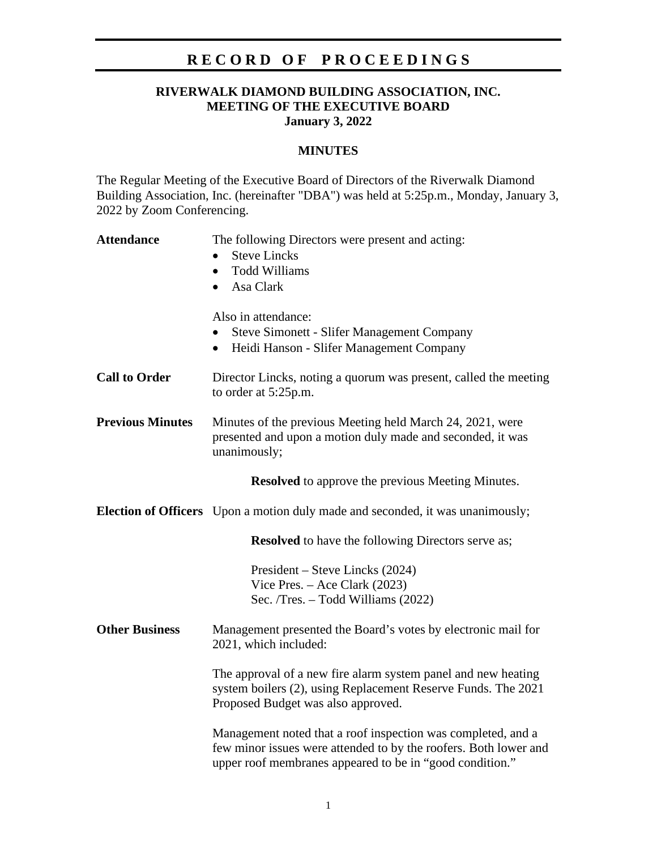# **R E C O R D O F P R O C E E D I N G S**

## **RIVERWALK DIAMOND BUILDING ASSOCIATION, INC. MEETING OF THE EXECUTIVE BOARD January 3, 2022**

#### **MINUTES**

The Regular Meeting of the Executive Board of Directors of the Riverwalk Diamond Building Association, Inc. (hereinafter "DBA") was held at 5:25p.m., Monday, January 3, 2022 by Zoom Conferencing.

| <b>Attendance</b>                                        | The following Directors were present and acting:<br><b>Steve Lincks</b><br><b>Todd Williams</b><br>$\bullet$<br>Asa Clark<br>$\bullet$                                                       |
|----------------------------------------------------------|----------------------------------------------------------------------------------------------------------------------------------------------------------------------------------------------|
|                                                          | Also in attendance:<br><b>Steve Simonett - Slifer Management Company</b><br>Heidi Hanson - Slifer Management Company<br>$\bullet$                                                            |
| <b>Call to Order</b>                                     | Director Lincks, noting a quorum was present, called the meeting<br>to order at 5:25p.m.                                                                                                     |
| <b>Previous Minutes</b>                                  | Minutes of the previous Meeting held March 24, 2021, were<br>presented and upon a motion duly made and seconded, it was<br>unanimously;                                                      |
| <b>Resolved</b> to approve the previous Meeting Minutes. |                                                                                                                                                                                              |
|                                                          | <b>Election of Officers</b> Upon a motion duly made and seconded, it was unanimously;                                                                                                        |
|                                                          | <b>Resolved</b> to have the following Directors serve as;                                                                                                                                    |
|                                                          | President – Steve Lincks (2024)<br>Vice Pres. $-$ Ace Clark (2023)<br>Sec. /Tres. - Todd Williams (2022)                                                                                     |
| <b>Other Business</b>                                    | Management presented the Board's votes by electronic mail for<br>2021, which included:                                                                                                       |
|                                                          | The approval of a new fire alarm system panel and new heating<br>system boilers (2), using Replacement Reserve Funds. The 2021<br>Proposed Budget was also approved.                         |
|                                                          | Management noted that a roof inspection was completed, and a<br>few minor issues were attended to by the roofers. Both lower and<br>upper roof membranes appeared to be in "good condition." |